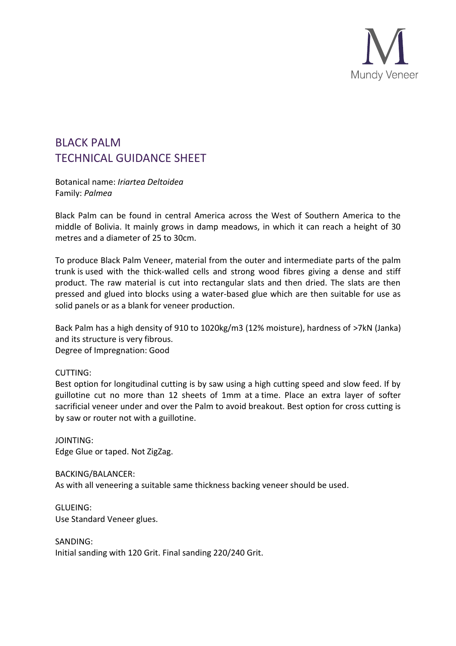

## BLACK PALM TECHNICAL GUIDANCE SHEET

Botanical name: *Iriartea Deltoidea* Family: *Palmea*

Black Palm can be found in central America across the West of Southern America to the middle of Bolivia. It mainly grows in damp meadows, in which it can reach a height of 30 metres and a diameter of 25 to 30cm.

To produce Black Palm Veneer, material from the outer and intermediate parts of the palm trunk is used with the thick-walled cells and strong wood fibres giving a dense and stiff product. The raw material is cut into rectangular slats and then dried. The slats are then pressed and glued into blocks using a water-based glue which are then suitable for use as solid panels or as a blank for veneer production.

Back Palm has a high density of 910 to 1020kg/m3 (12% moisture), hardness of >7kN (Janka) and its structure is very fibrous. Degree of Impregnation: Good

## CUTTING:

Best option for longitudinal cutting is by saw using a high cutting speed and slow feed. If by guillotine cut no more than 12 sheets of 1mm at a time. Place an extra layer of softer sacrificial veneer under and over the Palm to avoid breakout. Best option for cross cutting is by saw or router not with a guillotine.

JOINTING: Edge Glue or taped. Not ZigZag.

BACKING/BALANCER: As with all veneering a suitable same thickness backing veneer should be used.

GLUEING: Use Standard Veneer glues.

SANDING: Initial sanding with 120 Grit. Final sanding 220/240 Grit.